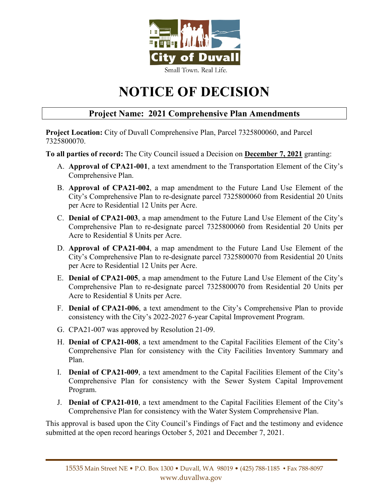

# **NOTICE OF DECISION**

## **Project Name: 2021 Comprehensive Plan Amendments**

**Project Location:** City of Duvall Comprehensive Plan, Parcel 7325800060, and Parcel 7325800070.

**To all parties of record:** The City Council issued a Decision on **December 7, 2021** granting:

- A. **Approval of CPA21-001**, a text amendment to the Transportation Element of the City's Comprehensive Plan.
- B. **Approval of CPA21-002**, a map amendment to the Future Land Use Element of the City's Comprehensive Plan to re-designate parcel 7325800060 from Residential 20 Units per Acre to Residential 12 Units per Acre.
- C. **Denial of CPA21-003**, a map amendment to the Future Land Use Element of the City's Comprehensive Plan to re-designate parcel 7325800060 from Residential 20 Units per Acre to Residential 8 Units per Acre.
- D. **Approval of CPA21-004**, a map amendment to the Future Land Use Element of the City's Comprehensive Plan to re-designate parcel 7325800070 from Residential 20 Units per Acre to Residential 12 Units per Acre.
- E. **Denial of CPA21-005**, a map amendment to the Future Land Use Element of the City's Comprehensive Plan to re-designate parcel 7325800070 from Residential 20 Units per Acre to Residential 8 Units per Acre.
- F. **Denial of CPA21-006**, a text amendment to the City's Comprehensive Plan to provide consistency with the City's 2022-2027 6-year Capital Improvement Program.
- G. CPA21-007 was approved by Resolution 21-09.
- H. **Denial of CPA21-008**, a text amendment to the Capital Facilities Element of the City's Comprehensive Plan for consistency with the City Facilities Inventory Summary and Plan.
- I. **Denial of CPA21-009**, a text amendment to the Capital Facilities Element of the City's Comprehensive Plan for consistency with the Sewer System Capital Improvement Program.
- J. **Denial of CPA21-010**, a text amendment to the Capital Facilities Element of the City's Comprehensive Plan for consistency with the Water System Comprehensive Plan.

This approval is based upon the City Council's Findings of Fact and the testimony and evidence submitted at the open record hearings October 5, 2021 and December 7, 2021.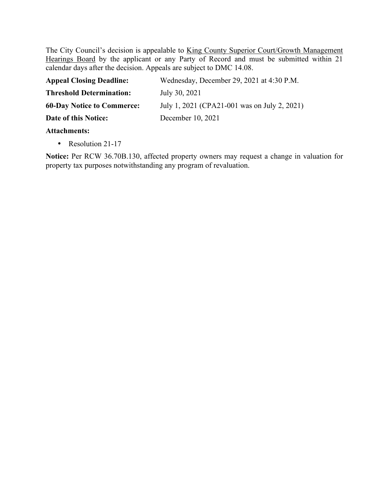The City Council's decision is appealable to King County Superior Court/Growth Management Hearings Board by the applicant or any Party of Record and must be submitted within 21 calendar days after the decision. Appeals are subject to DMC 14.08.

| <b>Appeal Closing Deadline:</b>   | Wednesday, December 29, 2021 at 4:30 P.M.    |
|-----------------------------------|----------------------------------------------|
| <b>Threshold Determination:</b>   | July 30, 2021                                |
| <b>60-Day Notice to Commerce:</b> | July 1, 2021 (CPA21-001 was on July 2, 2021) |
| Date of this Notice:              | December 10, 2021                            |
| Attoobmonter                      |                                              |

### **Attachments:**

• Resolution 21-17

**Notice:** Per RCW 36.70B.130, affected property owners may request a change in valuation for property tax purposes notwithstanding any program of revaluation.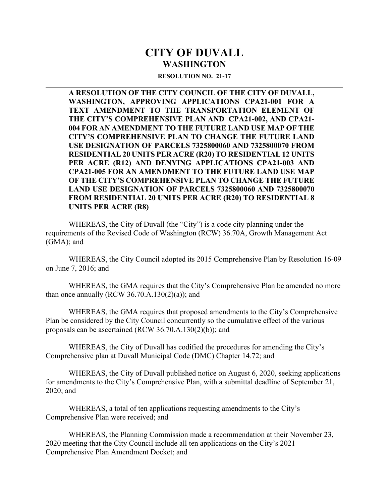## **CITY OF DUVALL WASHINGTON**

#### **RESOLUTION NO. 21-17**

**A RESOLUTION OF THE CITY COUNCIL OF THE CITY OF DUVALL, WASHINGTON, APPROVING APPLICATIONS CPA21-001 FOR A TEXT AMENDMENT TO THE TRANSPORTATION ELEMENT OF THE CITY'S COMPREHENSIVE PLAN AND CPA21-002, AND CPA21- 004 FOR AN AMENDMENT TO THE FUTURE LAND USE MAP OF THE CITY'S COMPREHENSIVE PLAN TO CHANGE THE FUTURE LAND USE DESIGNATION OF PARCELS 7325800060 AND 7325800070 FROM RESIDENTIAL 20 UNITS PER ACRE (R20) TO RESIDENTIAL 12 UNITS PER ACRE (R12) AND DENYING APPLICATIONS CPA21-003 AND CPA21-005 FOR AN AMENDMENT TO THE FUTURE LAND USE MAP OF THE CITY'S COMPREHENSIVE PLAN TO CHANGE THE FUTURE LAND USE DESIGNATION OF PARCELS 7325800060 AND 7325800070 FROM RESIDENTIAL 20 UNITS PER ACRE (R20) TO RESIDENTIAL 8 UNITS PER ACRE (R8)** 

 WHEREAS, the City of Duvall (the "City") is a code city planning under the requirements of the Revised Code of Washington (RCW) 36.70A, Growth Management Act (GMA); and

WHEREAS, the City Council adopted its 2015 Comprehensive Plan by Resolution 16-09 on June 7, 2016; and

WHEREAS, the GMA requires that the City's Comprehensive Plan be amended no more than once annually (RCW  $36.70.A.130(2)(a)$ ); and

WHEREAS, the GMA requires that proposed amendments to the City's Comprehensive Plan be considered by the City Council concurrently so the cumulative effect of the various proposals can be ascertained (RCW 36.70.A.130(2)(b)); and

WHEREAS, the City of Duvall has codified the procedures for amending the City's Comprehensive plan at Duvall Municipal Code (DMC) Chapter 14.72; and

WHEREAS, the City of Duvall published notice on August 6, 2020, seeking applications for amendments to the City's Comprehensive Plan, with a submittal deadline of September 21, 2020; and

 WHEREAS, a total of ten applications requesting amendments to the City's Comprehensive Plan were received; and

 WHEREAS, the Planning Commission made a recommendation at their November 23, 2020 meeting that the City Council include all ten applications on the City's 2021 Comprehensive Plan Amendment Docket; and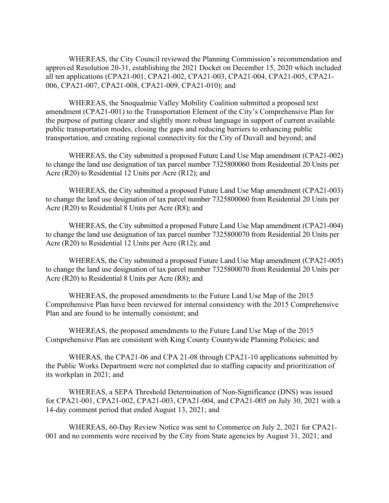WHEREAS, the City Council reviewed the Planning Commission's recommendation and approved Resolution 20-31, establishing the 2021 Docket on December 15, 2020 which included all ten applications (CPA21-001, CPA21-002, CPA21-003, CPA21-004, CPA21-005, CPA21- 006, CPA21-007, CPA21-008, CPA21-009, CPA21-010); and

 WHEREAS, the Snoqualmie Valley Mobility Coalition submitted a proposed text amendment (CPA21-001) to the Transportation Element of the City's Comprehensive Plan for the purpose of putting clearer and slightly more robust language in support of current available public transportation modes, closing the gaps and reducing barriers to enhancing public transportation, and creating regional connectivity for the City of Duvall and beyond; and

 WHEREAS, the City submitted a proposed Future Land Use Map amendment (CPA21-002) to change the land use designation of tax parcel number 7325800060 from Residential 20 Units per Acre (R20) to Residential 12 Units per Acre (R12); and

 WHEREAS, the City submitted a proposed Future Land Use Map amendment (CPA21-003) to change the land use designation of tax parcel number 7325800060 from Residential 20 Units per Acre (R20) to Residential 8 Units per Acre (R8); and

 WHEREAS, the City submitted a proposed Future Land Use Map amendment (CPA21-004) to change the land use designation of tax parcel number 7325800070 from Residential 20 Units per Acre (R20) to Residential 12 Units per Acre (R12); and

 WHEREAS, the City submitted a proposed Future Land Use Map amendment (CPA21-005) to change the land use designation of tax parcel number 7325800070 from Residential 20 Units per Acre (R20) to Residential 8 Units per Acre (R8); and

 WHEREAS, the proposed amendments to the Future Land Use Map of the 2015 Comprehensive Plan have been reviewed for internal consistency with the 2015 Comprehensive Plan and are found to be internally consistent; and

 WHEREAS, the proposed amendments to the Future Land Use Map of the 2015 Comprehensive Plan are consistent with King County Countywide Planning Policies; and

 WHERAS, the CPA21-06 and CPA 21-08 through CPA21-10 applications submitted by the Public Works Department were not completed due to staffing capacity and prioritization of its workplan in 2021; and

WHEREAS, a SEPA Threshold Determination of Non-Significance (DNS) was issued for CPA21-001, CPA21-002, CPA21-003, CPA21-004, and CPA21-005 on July 30, 2021 with a 14-day comment period that ended August 13, 2021; and

 WHEREAS, 60-Day Review Notice was sent to Commerce on July 2, 2021 for CPA21- 001 and no comments were received by the City from State agencies by August 31, 2021; and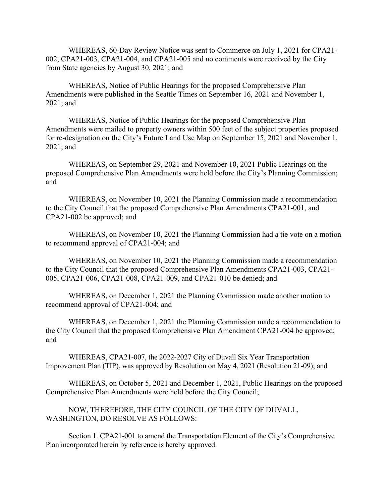WHEREAS, 60-Day Review Notice was sent to Commerce on July 1, 2021 for CPA21- 002, CPA21-003, CPA21-004, and CPA21-005 and no comments were received by the City from State agencies by August 30, 2021; and

 WHEREAS, Notice of Public Hearings for the proposed Comprehensive Plan Amendments were published in the Seattle Times on September 16, 2021 and November 1, 2021; and

 WHEREAS, Notice of Public Hearings for the proposed Comprehensive Plan Amendments were mailed to property owners within 500 feet of the subject properties proposed for re-designation on the City's Future Land Use Map on September 15, 2021 and November 1, 2021; and

 WHEREAS, on September 29, 2021 and November 10, 2021 Public Hearings on the proposed Comprehensive Plan Amendments were held before the City's Planning Commission; and

 WHEREAS, on November 10, 2021 the Planning Commission made a recommendation to the City Council that the proposed Comprehensive Plan Amendments CPA21-001, and CPA21-002 be approved; and

 WHEREAS, on November 10, 2021 the Planning Commission had a tie vote on a motion to recommend approval of CPA21-004; and

 WHEREAS, on November 10, 2021 the Planning Commission made a recommendation to the City Council that the proposed Comprehensive Plan Amendments CPA21-003, CPA21- 005, CPA21-006, CPA21-008, CPA21-009, and CPA21-010 be denied; and

 WHEREAS, on December 1, 2021 the Planning Commission made another motion to recommend approval of CPA21-004; and

 WHEREAS, on December 1, 2021 the Planning Commission made a recommendation to the City Council that the proposed Comprehensive Plan Amendment CPA21-004 be approved; and

 WHEREAS, CPA21-007, the 2022-2027 City of Duvall Six Year Transportation Improvement Plan (TIP), was approved by Resolution on May 4, 2021 (Resolution 21-09); and

 WHEREAS, on October 5, 2021 and December 1, 2021, Public Hearings on the proposed Comprehensive Plan Amendments were held before the City Council;

 NOW, THEREFORE, THE CITY COUNCIL OF THE CITY OF DUVALL, WASHINGTON, DO RESOLVE AS FOLLOWS:

 Section 1. CPA21-001 to amend the Transportation Element of the City's Comprehensive Plan incorporated herein by reference is hereby approved.